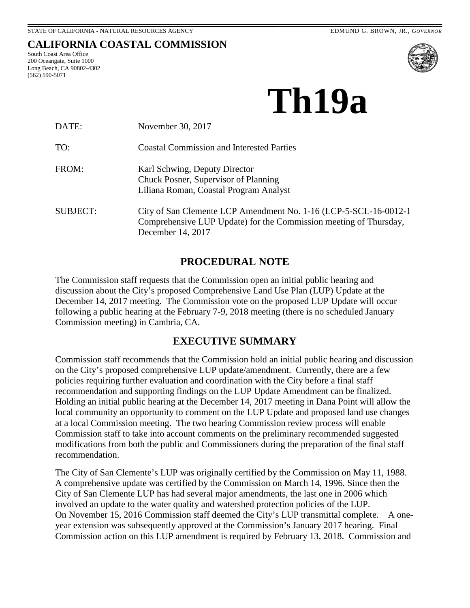# **CALIFORNIA COASTAL COMMISSION**

South Coast Area Office 200 Oceangate, Suite 1000 Long Beach, CA 90802-4302 (562) 590-5071



# **Th19a**

| DATE:           | November 30, 2017                                                                                                                                           |
|-----------------|-------------------------------------------------------------------------------------------------------------------------------------------------------------|
| TO:             | <b>Coastal Commission and Interested Parties</b>                                                                                                            |
| FROM:           | Karl Schwing, Deputy Director<br>Chuck Posner, Supervisor of Planning<br>Liliana Roman, Coastal Program Analyst                                             |
| <b>SUBJECT:</b> | City of San Clemente LCP Amendment No. 1-16 (LCP-5-SCL-16-0012-1)<br>Comprehensive LUP Update) for the Commission meeting of Thursday,<br>December 14, 2017 |

# **PROCEDURAL NOTE**

<span id="page-0-0"></span>The Commission staff requests that the Commission open an initial public hearing and discussion about the City's proposed Comprehensive Land Use Plan (LUP) Update at the December 14, 2017 meeting. The Commission vote on the proposed LUP Update will occur following a public hearing at the February 7-9, 2018 meeting (there is no scheduled January Commission meeting) in Cambria, CA.

### **EXECUTIVE SUMMARY**

<span id="page-0-1"></span>Commission staff recommends that the Commission hold an initial public hearing and discussion on the City's proposed comprehensive LUP update/amendment. Currently, there are a few policies requiring further evaluation and coordination with the City before a final staff recommendation and supporting findings on the LUP Update Amendment can be finalized. Holding an initial public hearing at the December 14, 2017 meeting in Dana Point will allow the local community an opportunity to comment on the LUP Update and proposed land use changes at a local Commission meeting. The two hearing Commission review process will enable Commission staff to take into account comments on the preliminary recommended suggested modifications from both the public and Commissioners during the preparation of the final staff recommendation.

The City of San Clemente's LUP was originally certified by the Commission on May 11, 1988. A comprehensive update was certified by the Commission on March 14, 1996. Since then the City of San Clemente LUP has had several major amendments, the last one in 2006 which involved an update to the water quality and watershed protection policies of the LUP. On November 15, 2016 Commission staff deemed the City's LUP transmittal complete. A oneyear extension was subsequently approved at the Commission's January 2017 hearing. Final Commission action on this LUP amendment is required by February 13, 2018. Commission and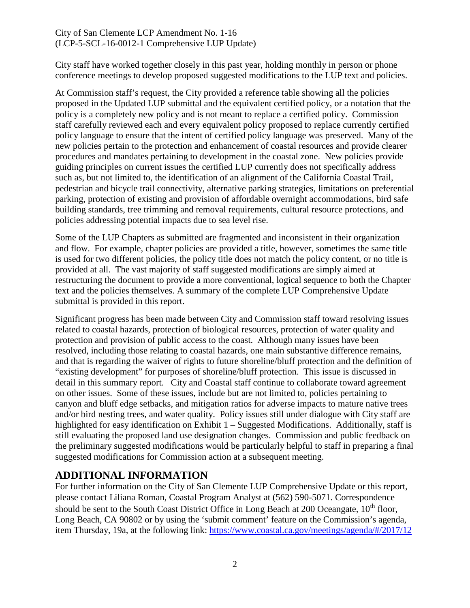City staff have worked together closely in this past year, holding monthly in person or phone conference meetings to develop proposed suggested modifications to the LUP text and policies.

At Commission staff's request, the City provided a reference table showing all the policies proposed in the Updated LUP submittal and the equivalent certified policy, or a notation that the policy is a completely new policy and is not meant to replace a certified policy. Commission staff carefully reviewed each and every equivalent policy proposed to replace currently certified policy language to ensure that the intent of certified policy language was preserved. Many of the new policies pertain to the protection and enhancement of coastal resources and provide clearer procedures and mandates pertaining to development in the coastal zone. New policies provide guiding principles on current issues the certified LUP currently does not specifically address such as, but not limited to, the identification of an alignment of the California Coastal Trail, pedestrian and bicycle trail connectivity, alternative parking strategies, limitations on preferential parking, protection of existing and provision of affordable overnight accommodations, bird safe building standards, tree trimming and removal requirements, cultural resource protections, and policies addressing potential impacts due to sea level rise.

Some of the LUP Chapters as submitted are fragmented and inconsistent in their organization and flow. For example, chapter policies are provided a title, however, sometimes the same title is used for two different policies, the policy title does not match the policy content, or no title is provided at all. The vast majority of staff suggested modifications are simply aimed at restructuring the document to provide a more conventional, logical sequence to both the Chapter text and the policies themselves. A summary of the complete LUP Comprehensive Update submittal is provided in this report.

Significant progress has been made between City and Commission staff toward resolving issues related to coastal hazards, protection of biological resources, protection of water quality and protection and provision of public access to the coast. Although many issues have been resolved, including those relating to coastal hazards, one main substantive difference remains, and that is regarding the waiver of rights to future shoreline/bluff protection and the definition of "existing development" for purposes of shoreline/bluff protection. This issue is discussed in detail in this summary report. City and Coastal staff continue to collaborate toward agreement on other issues. Some of these issues, include but are not limited to, policies pertaining to canyon and bluff edge setbacks, and mitigation ratios for adverse impacts to mature native trees and/or bird nesting trees, and water quality. Policy issues still under dialogue with City staff are highlighted for easy identification on Exhibit 1 – Suggested Modifications. Additionally, staff is still evaluating the proposed land use designation changes. Commission and public feedback on the preliminary suggested modifications would be particularly helpful to staff in preparing a final suggested modifications for Commission action at a subsequent meeting.

# <span id="page-1-0"></span>**ADDITIONAL INFORMATION**

For further information on the City of San Clemente LUP Comprehensive Update or this report, please contact Liliana Roman, Coastal Program Analyst at (562) 590-5071. Correspondence should be sent to the South Coast District Office in Long Beach at 200 Oceangate, 10<sup>th</sup> floor, Long Beach, CA 90802 or by using the 'submit comment' feature on the Commission's agenda, item Thursday, 19a, at the following link:<https://www.coastal.ca.gov/meetings/agenda/#/2017/12>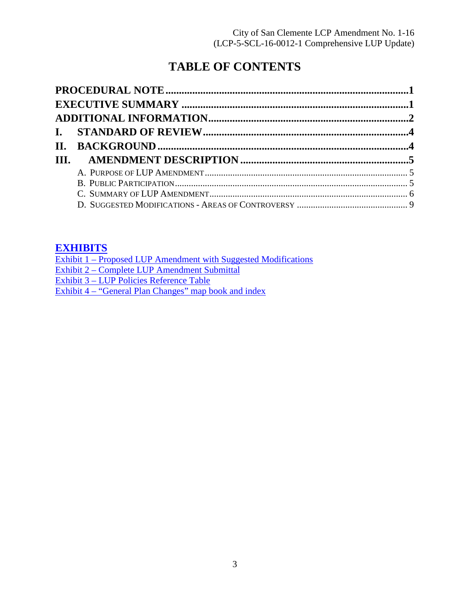# **TABLE OF CONTENTS**

# **[EXHIBITS](https://documents.coastal.ca.gov/reports/2017/12/Th19a/Th19a-12-2017-exhibits.pdf)**

| Exhibit 1 – Proposed LUP Amendment with Suggested Modifications |
|-----------------------------------------------------------------|
| Exhibit 2 – Complete LUP Amendment Submittal                    |
| Exhibit 3 – LUP Policies Reference Table                        |
| Exhibit 4 – "General Plan Changes" map book and index           |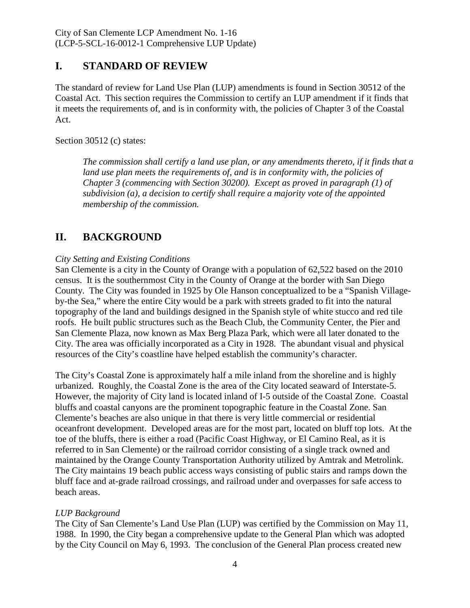# <span id="page-3-0"></span>**I. STANDARD OF REVIEW**

The standard of review for Land Use Plan (LUP) amendments is found in Section 30512 of the Coastal Act. This section requires the Commission to certify an LUP amendment if it finds that it meets the requirements of, and is in conformity with, the policies of Chapter 3 of the Coastal Act.

Section 30512 (c) states:

*The commission shall certify a land use plan, or any amendments thereto, if it finds that a*  land use plan meets the requirements of, and is in conformity with, the policies of *Chapter 3 (commencing with Section 30200). Except as proved in paragraph (1) of subdivision (a), a decision to certify shall require a majority vote of the appointed membership of the commission.* 

# <span id="page-3-1"></span>**II. BACKGROUND**

#### *City Setting and Existing Conditions*

San Clemente is a city in the County of Orange with a population of 62,522 based on the 2010 census. It is the southernmost City in the County of Orange at the border with San Diego County. The City was founded in 1925 by Ole Hanson conceptualized to be a "Spanish Villageby-the Sea," where the entire City would be a park with streets graded to fit into the natural topography of the land and buildings designed in the Spanish style of white stucco and red tile roofs. He built public structures such as the Beach Club, the Community Center, the Pier and San Clemente Plaza, now known as Max Berg Plaza Park, which were all later donated to the City. The area was officially incorporated as a City in 1928. The abundant visual and physical resources of the City's coastline have helped establish the community's character.

The City's Coastal Zone is approximately half a mile inland from the shoreline and is highly urbanized. Roughly, the Coastal Zone is the area of the City located seaward of Interstate-5. However, the majority of City land is located inland of I-5 outside of the Coastal Zone. Coastal bluffs and coastal canyons are the prominent topographic feature in the Coastal Zone. San Clemente's beaches are also unique in that there is very little commercial or residential oceanfront development. Developed areas are for the most part, located on bluff top lots. At the toe of the bluffs, there is either a road (Pacific Coast Highway, or El Camino Real, as it is referred to in San Clemente) or the railroad corridor consisting of a single track owned and maintained by the Orange County Transportation Authority utilized by Amtrak and Metrolink. The City maintains 19 beach public access ways consisting of public stairs and ramps down the bluff face and at-grade railroad crossings, and railroad under and overpasses for safe access to beach areas.

#### *LUP Background*

The City of San Clemente's Land Use Plan (LUP) was certified by the Commission on May 11, 1988. In 1990, the City began a comprehensive update to the General Plan which was adopted by the City Council on May 6, 1993. The conclusion of the General Plan process created new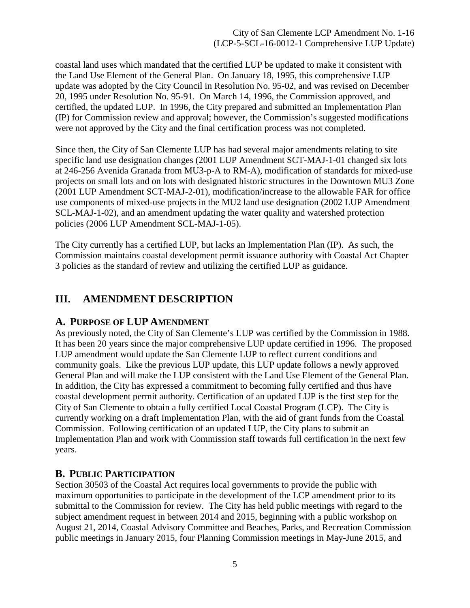coastal land uses which mandated that the certified LUP be updated to make it consistent with the Land Use Element of the General Plan. On January 18, 1995, this comprehensive LUP update was adopted by the City Council in Resolution No. 95-02, and was revised on December 20, 1995 under Resolution No. 95-91. On March 14, 1996, the Commission approved, and certified, the updated LUP. In 1996, the City prepared and submitted an Implementation Plan (IP) for Commission review and approval; however, the Commission's suggested modifications were not approved by the City and the final certification process was not completed.

Since then, the City of San Clemente LUP has had several major amendments relating to site specific land use designation changes (2001 LUP Amendment SCT-MAJ-1-01 changed six lots at 246-256 Avenida Granada from MU3-p-A to RM-A), modification of standards for mixed-use projects on small lots and on lots with designated historic structures in the Downtown MU3 Zone (2001 LUP Amendment SCT-MAJ-2-01), modification/increase to the allowable FAR for office use components of mixed-use projects in the MU2 land use designation (2002 LUP Amendment SCL-MAJ-1-02), and an amendment updating the water quality and watershed protection policies (2006 LUP Amendment SCL-MAJ-1-05).

The City currently has a certified LUP, but lacks an Implementation Plan (IP). As such, the Commission maintains coastal development permit issuance authority with Coastal Act Chapter 3 policies as the standard of review and utilizing the certified LUP as guidance.

# <span id="page-4-0"></span>**III. AMENDMENT DESCRIPTION**

#### <span id="page-4-1"></span>**A. PURPOSE OF LUP AMENDMENT**

As previously noted, the City of San Clemente's LUP was certified by the Commission in 1988. It has been 20 years since the major comprehensive LUP update certified in 1996. The proposed LUP amendment would update the San Clemente LUP to reflect current conditions and community goals. Like the previous LUP update, this LUP update follows a newly approved General Plan and will make the LUP consistent with the Land Use Element of the General Plan. In addition, the City has expressed a commitment to becoming fully certified and thus have coastal development permit authority. Certification of an updated LUP is the first step for the City of San Clemente to obtain a fully certified Local Coastal Program (LCP). The City is currently working on a draft Implementation Plan, with the aid of grant funds from the Coastal Commission. Following certification of an updated LUP, the City plans to submit an Implementation Plan and work with Commission staff towards full certification in the next few years.

#### <span id="page-4-2"></span>**B. PUBLIC PARTICIPATION**

Section 30503 of the Coastal Act requires local governments to provide the public with maximum opportunities to participate in the development of the LCP amendment prior to its submittal to the Commission for review. The City has held public meetings with regard to the subject amendment request in between 2014 and 2015, beginning with a public workshop on August 21, 2014, Coastal Advisory Committee and Beaches, Parks, and Recreation Commission public meetings in January 2015, four Planning Commission meetings in May-June 2015, and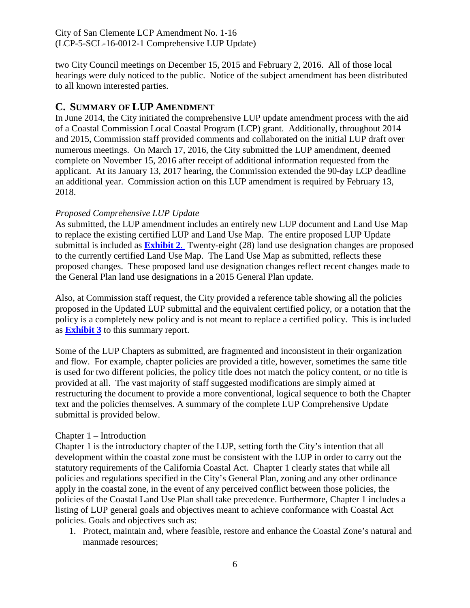two City Council meetings on December 15, 2015 and February 2, 2016. All of those local hearings were duly noticed to the public. Notice of the subject amendment has been distributed to all known interested parties.

#### <span id="page-5-0"></span>**C. SUMMARY OF LUP AMENDMENT**

In June 2014, the City initiated the comprehensive LUP update amendment process with the aid of a Coastal Commission Local Coastal Program (LCP) grant. Additionally, throughout 2014 and 2015, Commission staff provided comments and collaborated on the initial LUP draft over numerous meetings. On March 17, 2016, the City submitted the LUP amendment, deemed complete on November 15, 2016 after receipt of additional information requested from the applicant. At its January 13, 2017 hearing, the Commission extended the 90-day LCP deadline an additional year. Commission action on this LUP amendment is required by February 13, 2018.

#### *Proposed Comprehensive LUP Update*

As submitted, the LUP amendment includes an entirely new LUP document and Land Use Map to replace the existing certified LUP and Land Use Map. The entire proposed LUP Update submittal is included as **[Exhibit 2](https://documents.coastal.ca.gov/reports/2017/12/Th19a/Th19a-12-2017-exhibits.pdf)**. Twenty-eight (28) land use designation changes are proposed to the currently certified Land Use Map. The Land Use Map as submitted, reflects these proposed changes. These proposed land use designation changes reflect recent changes made to the General Plan land use designations in a 2015 General Plan update.

Also, at Commission staff request, the City provided a reference table showing all the policies proposed in the Updated LUP submittal and the equivalent certified policy, or a notation that the policy is a completely new policy and is not meant to replace a certified policy. This is included as **[Exhibit 3](https://documents.coastal.ca.gov/reports/2017/12/Th19a/Th19a-12-2017-exhibits.pdf)** to this summary report.

Some of the LUP Chapters as submitted, are fragmented and inconsistent in their organization and flow. For example, chapter policies are provided a title, however, sometimes the same title is used for two different policies, the policy title does not match the policy content, or no title is provided at all. The vast majority of staff suggested modifications are simply aimed at restructuring the document to provide a more conventional, logical sequence to both the Chapter text and the policies themselves. A summary of the complete LUP Comprehensive Update submittal is provided below.

#### Chapter 1 – Introduction

Chapter 1 is the introductory chapter of the LUP, setting forth the City's intention that all development within the coastal zone must be consistent with the LUP in order to carry out the statutory requirements of the California Coastal Act. Chapter 1 clearly states that while all policies and regulations specified in the City's General Plan, zoning and any other ordinance apply in the coastal zone, in the event of any perceived conflict between those policies, the policies of the Coastal Land Use Plan shall take precedence. Furthermore, Chapter 1 includes a listing of LUP general goals and objectives meant to achieve conformance with Coastal Act policies. Goals and objectives such as:

1. Protect, maintain and, where feasible, restore and enhance the Coastal Zone's natural and manmade resources;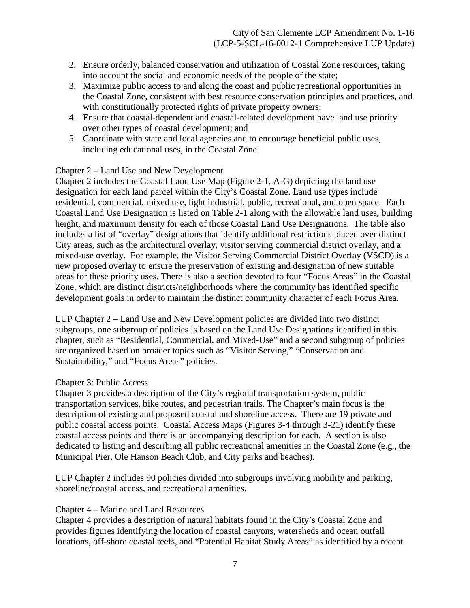- 2. Ensure orderly, balanced conservation and utilization of Coastal Zone resources, taking into account the social and economic needs of the people of the state;
- 3. Maximize public access to and along the coast and public recreational opportunities in the Coastal Zone, consistent with best resource conservation principles and practices, and with constitutionally protected rights of private property owners;
- 4. Ensure that coastal-dependent and coastal-related development have land use priority over other types of coastal development; and
- 5. Coordinate with state and local agencies and to encourage beneficial public uses, including educational uses, in the Coastal Zone.

#### Chapter 2 – Land Use and New Development

Chapter 2 includes the Coastal Land Use Map (Figure 2-1, A-G) depicting the land use designation for each land parcel within the City's Coastal Zone. Land use types include residential, commercial, mixed use, light industrial, public, recreational, and open space. Each Coastal Land Use Designation is listed on Table 2-1 along with the allowable land uses, building height, and maximum density for each of those Coastal Land Use Designations. The table also includes a list of "overlay" designations that identify additional restrictions placed over distinct City areas, such as the architectural overlay, visitor serving commercial district overlay, and a mixed-use overlay. For example, the Visitor Serving Commercial District Overlay (VSCD) is a new proposed overlay to ensure the preservation of existing and designation of new suitable areas for these priority uses. There is also a section devoted to four "Focus Areas" in the Coastal Zone, which are distinct districts/neighborhoods where the community has identified specific development goals in order to maintain the distinct community character of each Focus Area.

LUP Chapter 2 – Land Use and New Development policies are divided into two distinct subgroups, one subgroup of policies is based on the Land Use Designations identified in this chapter, such as "Residential, Commercial, and Mixed-Use" and a second subgroup of policies are organized based on broader topics such as "Visitor Serving," "Conservation and Sustainability," and "Focus Areas" policies.

#### Chapter 3: Public Access

Chapter 3 provides a description of the City's regional transportation system, public transportation services, bike routes, and pedestrian trails. The Chapter's main focus is the description of existing and proposed coastal and shoreline access. There are 19 private and public coastal access points. Coastal Access Maps (Figures 3-4 through 3-21) identify these coastal access points and there is an accompanying description for each. A section is also dedicated to listing and describing all public recreational amenities in the Coastal Zone (e.g., the Municipal Pier, Ole Hanson Beach Club, and City parks and beaches).

LUP Chapter 2 includes 90 policies divided into subgroups involving mobility and parking, shoreline/coastal access, and recreational amenities.

#### Chapter 4 – Marine and Land Resources

Chapter 4 provides a description of natural habitats found in the City's Coastal Zone and provides figures identifying the location of coastal canyons, watersheds and ocean outfall locations, off-shore coastal reefs, and "Potential Habitat Study Areas" as identified by a recent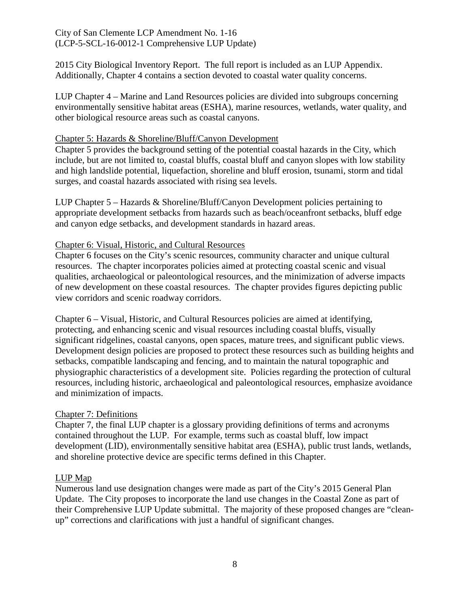2015 City Biological Inventory Report. The full report is included as an LUP Appendix. Additionally, Chapter 4 contains a section devoted to coastal water quality concerns.

LUP Chapter 4 – Marine and Land Resources policies are divided into subgroups concerning environmentally sensitive habitat areas (ESHA), marine resources, wetlands, water quality, and other biological resource areas such as coastal canyons.

#### Chapter 5: Hazards & Shoreline/Bluff/Canyon Development

Chapter 5 provides the background setting of the potential coastal hazards in the City, which include, but are not limited to, coastal bluffs, coastal bluff and canyon slopes with low stability and high landslide potential, liquefaction, shoreline and bluff erosion, tsunami, storm and tidal surges, and coastal hazards associated with rising sea levels.

LUP Chapter 5 – Hazards & Shoreline/Bluff/Canyon Development policies pertaining to appropriate development setbacks from hazards such as beach/oceanfront setbacks, bluff edge and canyon edge setbacks, and development standards in hazard areas.

#### Chapter 6: Visual, Historic, and Cultural Resources

Chapter 6 focuses on the City's scenic resources, community character and unique cultural resources. The chapter incorporates policies aimed at protecting coastal scenic and visual qualities, archaeological or paleontological resources, and the minimization of adverse impacts of new development on these coastal resources. The chapter provides figures depicting public view corridors and scenic roadway corridors.

Chapter 6 – Visual, Historic, and Cultural Resources policies are aimed at identifying, protecting, and enhancing scenic and visual resources including coastal bluffs, visually significant ridgelines, coastal canyons, open spaces, mature trees, and significant public views. Development design policies are proposed to protect these resources such as building heights and setbacks, compatible landscaping and fencing, and to maintain the natural topographic and physiographic characteristics of a development site. Policies regarding the protection of cultural resources, including historic, archaeological and paleontological resources, emphasize avoidance and minimization of impacts.

#### Chapter 7: Definitions

Chapter 7, the final LUP chapter is a glossary providing definitions of terms and acronyms contained throughout the LUP. For example, terms such as coastal bluff, low impact development (LID), environmentally sensitive habitat area (ESHA), public trust lands, wetlands, and shoreline protective device are specific terms defined in this Chapter.

#### LUP Map

Numerous land use designation changes were made as part of the City's 2015 General Plan Update. The City proposes to incorporate the land use changes in the Coastal Zone as part of their Comprehensive LUP Update submittal. The majority of these proposed changes are "cleanup" corrections and clarifications with just a handful of significant changes.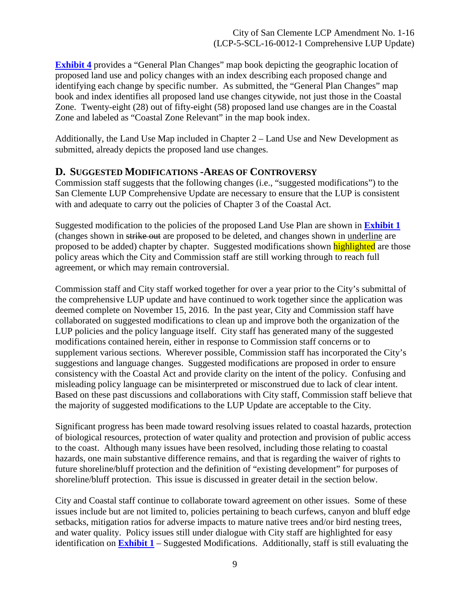**[Exhibit 4](https://documents.coastal.ca.gov/reports/2017/12/Th19a/Th19a-12-2017-exhibits.pdf)** provides a "General Plan Changes" map book depicting the geographic location of proposed land use and policy changes with an index describing each proposed change and identifying each change by specific number. As submitted, the "General Plan Changes" map book and index identifies all proposed land use changes citywide, not just those in the Coastal Zone. Twenty-eight (28) out of fifty-eight (58) proposed land use changes are in the Coastal Zone and labeled as "Coastal Zone Relevant" in the map book index.

Additionally, the Land Use Map included in Chapter 2 – Land Use and New Development as submitted, already depicts the proposed land use changes.

#### <span id="page-8-0"></span>**D. SUGGESTED MODIFICATIONS -AREAS OF CONTROVERSY**

Commission staff suggests that the following changes (i.e., "suggested modifications") to the San Clemente LUP Comprehensive Update are necessary to ensure that the LUP is consistent with and adequate to carry out the policies of Chapter 3 of the Coastal Act.

Suggested modification to the policies of the proposed Land Use Plan are shown in **[Exhibit 1](https://documents.coastal.ca.gov/reports/2017/12/Th19a/Th19a-12-2017-exhibits.pdf)** (changes shown in strike out are proposed to be deleted, and changes shown in underline are proposed to be added) chapter by chapter. Suggested modifications shown highlighted are those policy areas which the City and Commission staff are still working through to reach full agreement, or which may remain controversial.

Commission staff and City staff worked together for over a year prior to the City's submittal of the comprehensive LUP update and have continued to work together since the application was deemed complete on November 15, 2016. In the past year, City and Commission staff have collaborated on suggested modifications to clean up and improve both the organization of the LUP policies and the policy language itself. City staff has generated many of the suggested modifications contained herein, either in response to Commission staff concerns or to supplement various sections. Wherever possible, Commission staff has incorporated the City's suggestions and language changes. Suggested modifications are proposed in order to ensure consistency with the Coastal Act and provide clarity on the intent of the policy. Confusing and misleading policy language can be misinterpreted or misconstrued due to lack of clear intent. Based on these past discussions and collaborations with City staff, Commission staff believe that the majority of suggested modifications to the LUP Update are acceptable to the City.

Significant progress has been made toward resolving issues related to coastal hazards, protection of biological resources, protection of water quality and protection and provision of public access to the coast. Although many issues have been resolved, including those relating to coastal hazards, one main substantive difference remains, and that is regarding the waiver of rights to future shoreline/bluff protection and the definition of "existing development" for purposes of shoreline/bluff protection. This issue is discussed in greater detail in the section below.

City and Coastal staff continue to collaborate toward agreement on other issues. Some of these issues include but are not limited to, policies pertaining to beach curfews, canyon and bluff edge setbacks, mitigation ratios for adverse impacts to mature native trees and/or bird nesting trees, and water quality. Policy issues still under dialogue with City staff are highlighted for easy identification on **[Exhibit 1](https://documents.coastal.ca.gov/reports/2017/12/Th19a/Th19a-12-2017-exhibits.pdf)** – Suggested Modifications. Additionally, staff is still evaluating the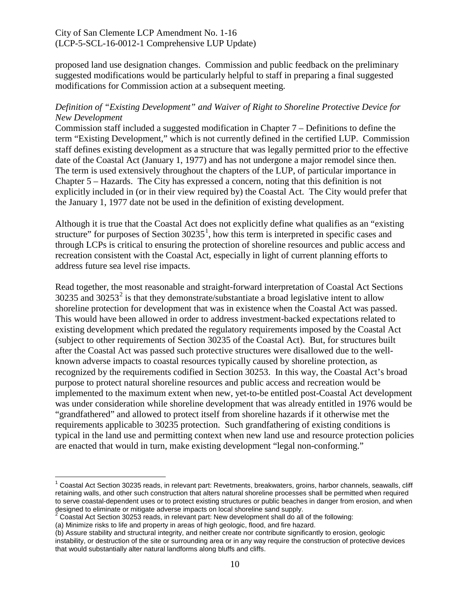proposed land use designation changes. Commission and public feedback on the preliminary suggested modifications would be particularly helpful to staff in preparing a final suggested modifications for Commission action at a subsequent meeting.

#### *Definition of "Existing Development" and Waiver of Right to Shoreline Protective Device for New Development*

Commission staff included a suggested modification in Chapter 7 – Definitions to define the term "Existing Development," which is not currently defined in the certified LUP. Commission staff defines existing development as a structure that was legally permitted prior to the effective date of the Coastal Act (January 1, 1977) and has not undergone a major remodel since then. The term is used extensively throughout the chapters of the LUP, of particular importance in Chapter 5 – Hazards. The City has expressed a concern, noting that this definition is not explicitly included in (or in their view required by) the Coastal Act. The City would prefer that the January 1, 1977 date not be used in the definition of existing development.

Although it is true that the Coastal Act does not explicitly define what qualifies as an "existing structure" for purposes of Section  $30235<sup>1</sup>$  $30235<sup>1</sup>$  $30235<sup>1</sup>$ , how this term is interpreted in specific cases and through LCPs is critical to ensuring the protection of shoreline resources and public access and recreation consistent with the Coastal Act, especially in light of current planning efforts to address future sea level rise impacts.

Read together, the most reasonable and straight-forward interpretation of Coastal Act Sections  $30235$  $30235$  $30235$  and  $30253<sup>2</sup>$  is that they demonstrate/substantiate a broad legislative intent to allow shoreline protection for development that was in existence when the Coastal Act was passed. This would have been allowed in order to address investment-backed expectations related to existing development which predated the regulatory requirements imposed by the Coastal Act (subject to other requirements of Section 30235 of the Coastal Act). But, for structures built after the Coastal Act was passed such protective structures were disallowed due to the wellknown adverse impacts to coastal resources typically caused by shoreline protection, as recognized by the requirements codified in Section 30253. In this way, the Coastal Act's broad purpose to protect natural shoreline resources and public access and recreation would be implemented to the maximum extent when new, yet-to-be entitled post-Coastal Act development was under consideration while shoreline development that was already entitled in 1976 would be "grandfathered" and allowed to protect itself from shoreline hazards if it otherwise met the requirements applicable to 30235 protection. Such grandfathering of existing conditions is typical in the land use and permitting context when new land use and resource protection policies are enacted that would in turn, make existing development "legal non-conforming."

 $\overline{\phantom{a}}$ 

<span id="page-9-0"></span> $1$  Coastal Act Section 30235 reads, in relevant part: Revetments, breakwaters, groins, harbor channels, seawalls, cliff retaining walls, and other such construction that alters natural shoreline processes shall be permitted when required to serve coastal-dependent uses or to protect existing structures or public beaches in danger from erosion, and when designed to eliminate or mitigate adverse impacts on local shoreline sand supply.

<span id="page-9-1"></span> $2$  Coastal Act Section 30253 reads, in relevant part: New development shall do all of the following:

<sup>(</sup>a) Minimize risks to life and property in areas of high geologic, flood, and fire hazard.

<sup>(</sup>b) Assure stability and structural integrity, and neither create nor contribute significantly to erosion, geologic instability, or destruction of the site or surrounding area or in any way require the construction of protective devices that would substantially alter natural landforms along bluffs and cliffs.